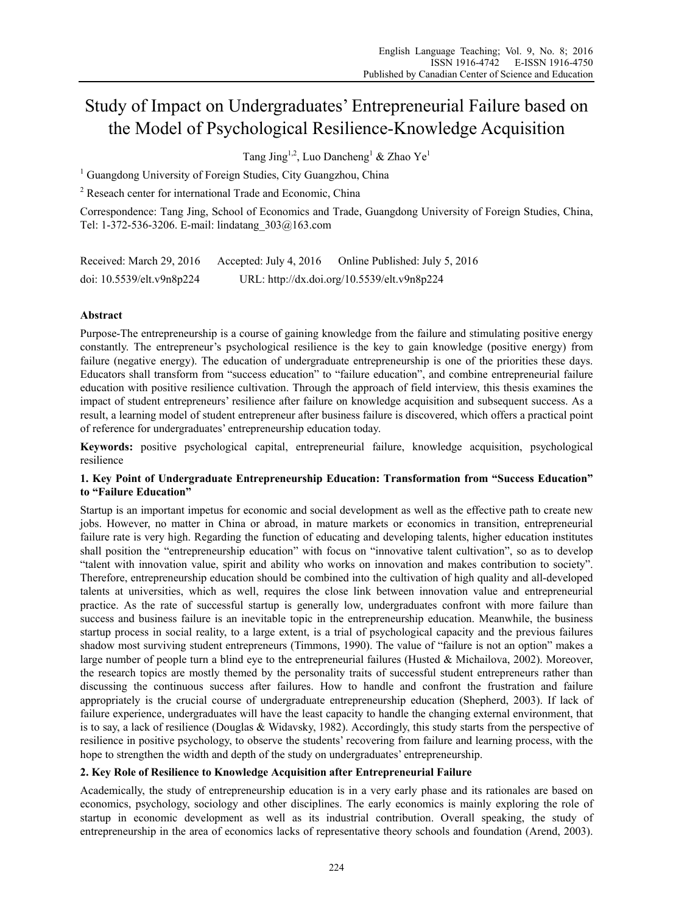# Study of Impact on Undergraduates' Entrepreneurial Failure based on the Model of Psychological Resilience-Knowledge Acquisition

Tang Jing<sup>1,2</sup>, Luo Dancheng<sup>1</sup> & Zhao Ye<sup>1</sup>

<sup>1</sup> Guangdong University of Foreign Studies, City Guangzhou, China

<sup>2</sup> Reseach center for international Trade and Economic, China

Correspondence: Tang Jing, School of Economics and Trade, Guangdong University of Foreign Studies, China, Tel: 1-372-536-3206. E-mail: lindatang\_303@163.com

| Received: March 29, 2016  | Accepted: July 4, $2016$ | Online Published: July 5, 2016              |
|---------------------------|--------------------------|---------------------------------------------|
| doi: 10.5539/elt.v9n8p224 |                          | URL: http://dx.doi.org/10.5539/elt.v9n8p224 |

# **Abstract**

Purpose-The entrepreneurship is a course of gaining knowledge from the failure and stimulating positive energy constantly. The entrepreneur's psychological resilience is the key to gain knowledge (positive energy) from failure (negative energy). The education of undergraduate entrepreneurship is one of the priorities these days. Educators shall transform from "success education" to "failure education", and combine entrepreneurial failure education with positive resilience cultivation. Through the approach of field interview, this thesis examines the impact of student entrepreneurs' resilience after failure on knowledge acquisition and subsequent success. As a result, a learning model of student entrepreneur after business failure is discovered, which offers a practical point of reference for undergraduates' entrepreneurship education today.

**Keywords:** positive psychological capital, entrepreneurial failure, knowledge acquisition, psychological resilience

## **1. Key Point of Undergraduate Entrepreneurship Education: Transformation from "Success Education" to "Failure Education"**

Startup is an important impetus for economic and social development as well as the effective path to create new jobs. However, no matter in China or abroad, in mature markets or economics in transition, entrepreneurial failure rate is very high. Regarding the function of educating and developing talents, higher education institutes shall position the "entrepreneurship education" with focus on "innovative talent cultivation", so as to develop "talent with innovation value, spirit and ability who works on innovation and makes contribution to society". Therefore, entrepreneurship education should be combined into the cultivation of high quality and all-developed talents at universities, which as well, requires the close link between innovation value and entrepreneurial practice. As the rate of successful startup is generally low, undergraduates confront with more failure than success and business failure is an inevitable topic in the entrepreneurship education. Meanwhile, the business startup process in social reality, to a large extent, is a trial of psychological capacity and the previous failures shadow most surviving student entrepreneurs (Timmons, 1990). The value of "failure is not an option" makes a large number of people turn a blind eye to the entrepreneurial failures (Husted & Michailova, 2002). Moreover, the research topics are mostly themed by the personality traits of successful student entrepreneurs rather than discussing the continuous success after failures. How to handle and confront the frustration and failure appropriately is the crucial course of undergraduate entrepreneurship education (Shepherd, 2003). If lack of failure experience, undergraduates will have the least capacity to handle the changing external environment, that is to say, a lack of resilience (Douglas & Widavsky, 1982). Accordingly, this study starts from the perspective of resilience in positive psychology, to observe the students' recovering from failure and learning process, with the hope to strengthen the width and depth of the study on undergraduates' entrepreneurship.

# **2. Key Role of Resilience to Knowledge Acquisition after Entrepreneurial Failure**

Academically, the study of entrepreneurship education is in a very early phase and its rationales are based on economics, psychology, sociology and other disciplines. The early economics is mainly exploring the role of startup in economic development as well as its industrial contribution. Overall speaking, the study of entrepreneurship in the area of economics lacks of representative theory schools and foundation (Arend, 2003).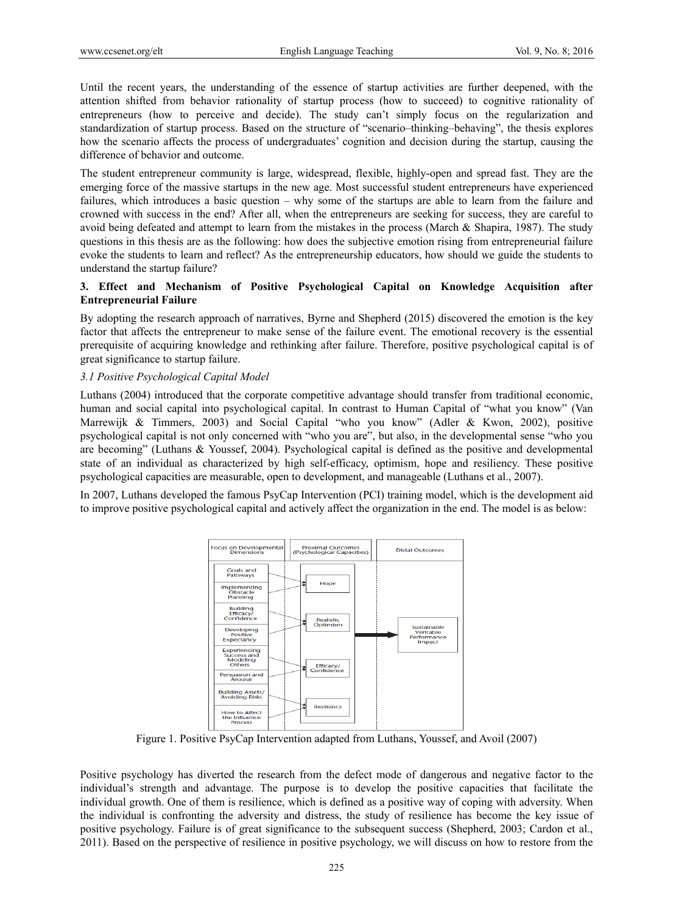Until the recent years, the understanding of the essence of startup activities are further deepened, with the attention shifted from behavior rationality of startup process (how to succeed) to cognitive rationality of entrepreneurs (how to perceive and decide). The study can't simply focus on the regularization and standardization of startup process. Based on the structure of "scenario–thinking–behaving", the thesis explores how the scenario affects the process of undergraduates' cognition and decision during the startup, causing the difference of behavior and outcome.

The student entrepreneur community is large, widespread, flexible, highly-open and spread fast. They are the emerging force of the massive startups in the new age. Most successful student entrepreneurs have experienced failures, which introduces a basic question – why some of the startups are able to learn from the failure and crowned with success in the end? After all, when the entrepreneurs are seeking for success, they are careful to avoid being defeated and attempt to learn from the mistakes in the process (March & Shapira, 1987). The study questions in this thesis are as the following: how does the subjective emotion rising from entrepreneurial failure evoke the students to learn and reflect? As the entrepreneurship educators, how should we guide the students to understand the startup failure?

## **3. Effect and Mechanism of Positive Psychological Capital on Knowledge Acquisition after Entrepreneurial Failure**

By adopting the research approach of narratives, Byrne and Shepherd (2015) discovered the emotion is the key factor that affects the entrepreneur to make sense of the failure event. The emotional recovery is the essential prerequisite of acquiring knowledge and rethinking after failure. Therefore, positive psychological capital is of great significance to startup failure.

## *3.1 Positive Psychological Capital Model*

Luthans (2004) introduced that the corporate competitive advantage should transfer from traditional economic, human and social capital into psychological capital. In contrast to Human Capital of "what you know" (Van Marrewijk & Timmers, 2003) and Social Capital "who you know" (Adler & Kwon, 2002), positive psychological capital is not only concerned with "who you are", but also, in the developmental sense "who you are becoming" (Luthans & Youssef, 2004). Psychological capital is defined as the positive and developmental state of an individual as characterized by high self-efficacy, optimism, hope and resiliency. These positive psychological capacities are measurable, open to development, and manageable (Luthans et al., 2007).

In 2007, Luthans developed the famous PsyCap Intervention (PCI) training model, which is the development aid to improve positive psychological capital and actively affect the organization in the end. The model is as below:



Figure 1. Positive PsyCap Intervention adapted from Luthans, Youssef, and Avoil (2007)

Positive psychology has diverted the research from the defect mode of dangerous and negative factor to the individual's strength and advantage. The purpose is to develop the positive capacities that facilitate the individual growth. One of them is resilience, which is defined as a positive way of coping with adversity. When the individual is confronting the adversity and distress, the study of resilience has become the key issue of positive psychology. Failure is of great significance to the subsequent success (Shepherd, 2003; Cardon et al., 2011). Based on the perspective of resilience in positive psychology, we will discuss on how to restore from the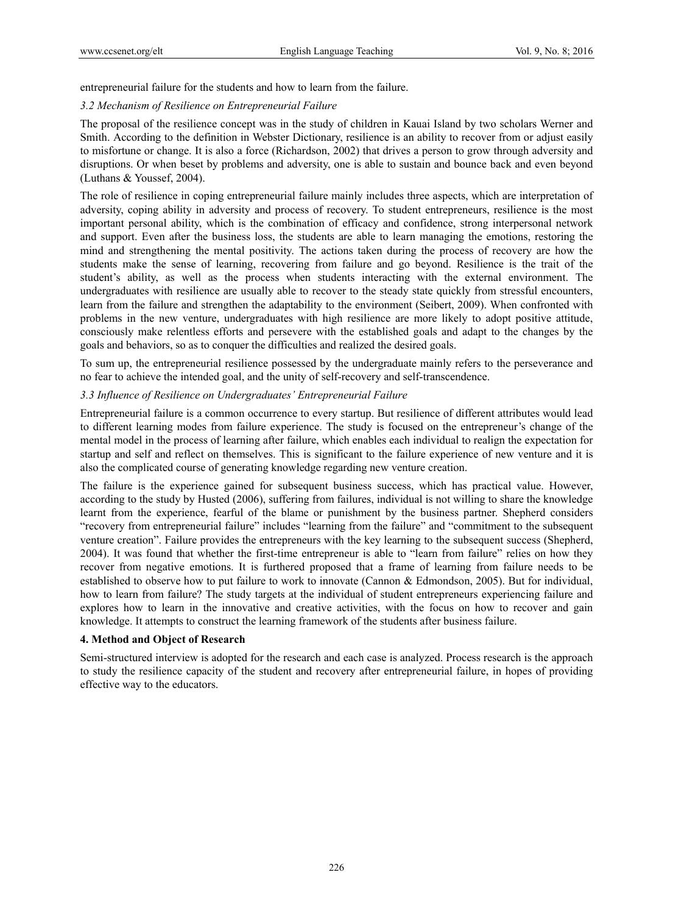entrepreneurial failure for the students and how to learn from the failure.

## *3.2 Mechanism of Resilience on Entrepreneurial Failure*

The proposal of the resilience concept was in the study of children in Kauai Island by two scholars Werner and Smith. According to the definition in Webster Dictionary, resilience is an ability to recover from or adjust easily to misfortune or change. It is also a force (Richardson, 2002) that drives a person to grow through adversity and disruptions. Or when beset by problems and adversity, one is able to sustain and bounce back and even beyond (Luthans & Youssef, 2004).

The role of resilience in coping entrepreneurial failure mainly includes three aspects, which are interpretation of adversity, coping ability in adversity and process of recovery. To student entrepreneurs, resilience is the most important personal ability, which is the combination of efficacy and confidence, strong interpersonal network and support. Even after the business loss, the students are able to learn managing the emotions, restoring the mind and strengthening the mental positivity. The actions taken during the process of recovery are how the students make the sense of learning, recovering from failure and go beyond. Resilience is the trait of the student's ability, as well as the process when students interacting with the external environment. The undergraduates with resilience are usually able to recover to the steady state quickly from stressful encounters, learn from the failure and strengthen the adaptability to the environment (Seibert, 2009). When confronted with problems in the new venture, undergraduates with high resilience are more likely to adopt positive attitude, consciously make relentless efforts and persevere with the established goals and adapt to the changes by the goals and behaviors, so as to conquer the difficulties and realized the desired goals.

To sum up, the entrepreneurial resilience possessed by the undergraduate mainly refers to the perseverance and no fear to achieve the intended goal, and the unity of self-recovery and self-transcendence.

## *3.3 Influence of Resilience on Undergraduates' Entrepreneurial Failure*

Entrepreneurial failure is a common occurrence to every startup. But resilience of different attributes would lead to different learning modes from failure experience. The study is focused on the entrepreneur's change of the mental model in the process of learning after failure, which enables each individual to realign the expectation for startup and self and reflect on themselves. This is significant to the failure experience of new venture and it is also the complicated course of generating knowledge regarding new venture creation.

The failure is the experience gained for subsequent business success, which has practical value. However, according to the study by Husted (2006), suffering from failures, individual is not willing to share the knowledge learnt from the experience, fearful of the blame or punishment by the business partner. Shepherd considers "recovery from entrepreneurial failure" includes "learning from the failure" and "commitment to the subsequent venture creation". Failure provides the entrepreneurs with the key learning to the subsequent success (Shepherd, 2004). It was found that whether the first-time entrepreneur is able to "learn from failure" relies on how they recover from negative emotions. It is furthered proposed that a frame of learning from failure needs to be established to observe how to put failure to work to innovate (Cannon & Edmondson, 2005). But for individual, how to learn from failure? The study targets at the individual of student entrepreneurs experiencing failure and explores how to learn in the innovative and creative activities, with the focus on how to recover and gain knowledge. It attempts to construct the learning framework of the students after business failure.

## **4. Method and Object of Research**

Semi-structured interview is adopted for the research and each case is analyzed. Process research is the approach to study the resilience capacity of the student and recovery after entrepreneurial failure, in hopes of providing effective way to the educators.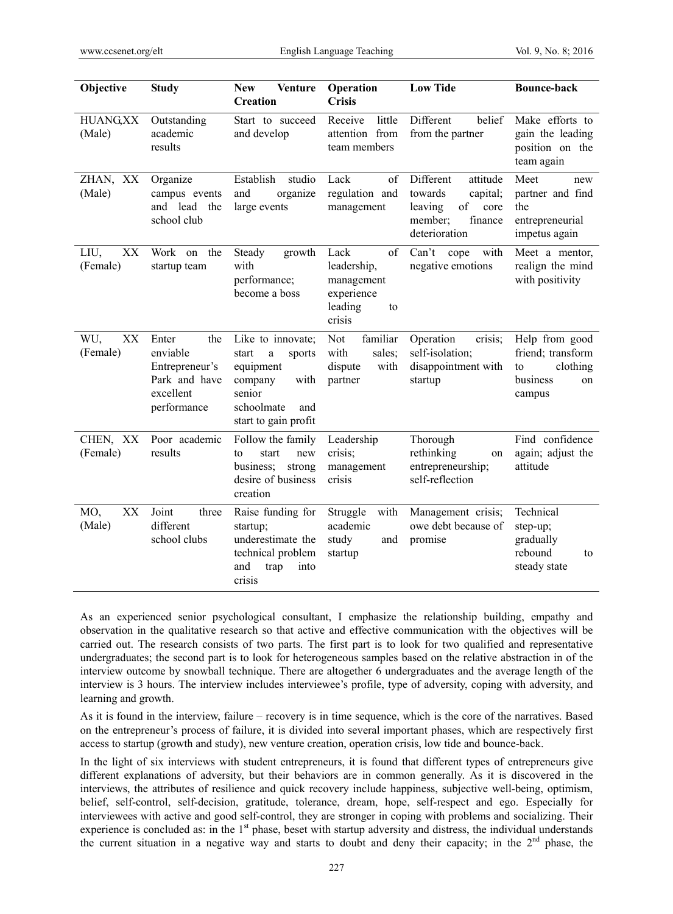| Objective                 | <b>Study</b>                                                                            | <b>Venture</b><br><b>New</b><br><b>Creation</b>                                                                                  | Operation<br><b>Crisis</b>                                                       | <b>Low Tide</b>                                                                                              | <b>Bounce-back</b>                                                                |
|---------------------------|-----------------------------------------------------------------------------------------|----------------------------------------------------------------------------------------------------------------------------------|----------------------------------------------------------------------------------|--------------------------------------------------------------------------------------------------------------|-----------------------------------------------------------------------------------|
| <b>HUANG,XX</b><br>(Male) | Outstanding<br>academic<br>results                                                      | Start to succeed<br>and develop                                                                                                  | Receive<br>little<br>attention from<br>team members                              | Different<br>belief<br>from the partner                                                                      | Make efforts to<br>gain the leading<br>position on the<br>team again              |
| ZHAN, XX<br>(Male)        | Organize<br>campus events<br>and lead the<br>school club                                | Establish<br>studio<br>and<br>organize<br>large events                                                                           | Lack<br>of<br>regulation and<br>management                                       | Different<br>attitude<br>towards<br>capital;<br>leaving<br>of<br>core<br>finance<br>member;<br>deterioration | Meet<br>new<br>partner and find<br>the<br>entrepreneurial<br>impetus again        |
| LIU,<br>XX<br>(Female)    | Work on the<br>startup team                                                             | Steady<br>growth<br>with<br>performance;<br>become a boss                                                                        | Lack<br>of<br>leadership,<br>management<br>experience<br>leading<br>to<br>crisis | Can't<br>with<br>cope<br>negative emotions                                                                   | Meet a mentor,<br>realign the mind<br>with positivity                             |
| XX<br>WU,<br>(Female)     | Enter<br>the<br>enviable<br>Entrepreneur's<br>Park and have<br>excellent<br>performance | Like to innovate;<br>start<br>a<br>sports<br>equipment<br>with<br>company<br>senior<br>schoolmate<br>and<br>start to gain profit | familiar<br><b>Not</b><br>with<br>sales;<br>dispute<br>with<br>partner           | Operation<br>crisis;<br>self-isolation;<br>disappointment with<br>startup                                    | Help from good<br>friend; transform<br>clothing<br>to<br>business<br>on<br>campus |
| CHEN, XX<br>(Female)      | Poor academic<br>results                                                                | Follow the family<br>start<br>new<br>to<br>business:<br>strong<br>desire of business<br>creation                                 | Leadership<br>crisis;<br>management<br>crisis                                    | Thorough<br>rethinking<br>on<br>entrepreneurship;<br>self-reflection                                         | Find confidence<br>again; adjust the<br>attitude                                  |
| MO,<br>XX<br>(Male)       | Joint<br>three<br>different<br>school clubs                                             | Raise funding for<br>startup;<br>underestimate the<br>technical problem<br>and<br>trap<br>into<br>crisis                         | Struggle<br>with<br>academic<br>study<br>and<br>startup                          | Management crisis;<br>owe debt because of<br>promise                                                         | Technical<br>step-up;<br>gradually<br>rebound<br>to<br>steady state               |

As an experienced senior psychological consultant, I emphasize the relationship building, empathy and observation in the qualitative research so that active and effective communication with the objectives will be carried out. The research consists of two parts. The first part is to look for two qualified and representative undergraduates; the second part is to look for heterogeneous samples based on the relative abstraction in of the interview outcome by snowball technique. There are altogether 6 undergraduates and the average length of the interview is 3 hours. The interview includes interviewee's profile, type of adversity, coping with adversity, and learning and growth.

As it is found in the interview, failure – recovery is in time sequence, which is the core of the narratives. Based on the entrepreneur's process of failure, it is divided into several important phases, which are respectively first access to startup (growth and study), new venture creation, operation crisis, low tide and bounce-back.

In the light of six interviews with student entrepreneurs, it is found that different types of entrepreneurs give different explanations of adversity, but their behaviors are in common generally. As it is discovered in the interviews, the attributes of resilience and quick recovery include happiness, subjective well-being, optimism, belief, self-control, self-decision, gratitude, tolerance, dream, hope, self-respect and ego. Especially for interviewees with active and good self-control, they are stronger in coping with problems and socializing. Their experience is concluded as: in the 1<sup>st</sup> phase, beset with startup adversity and distress, the individual understands the current situation in a negative way and starts to doubt and deny their capacity; in the  $2<sup>nd</sup>$  phase, the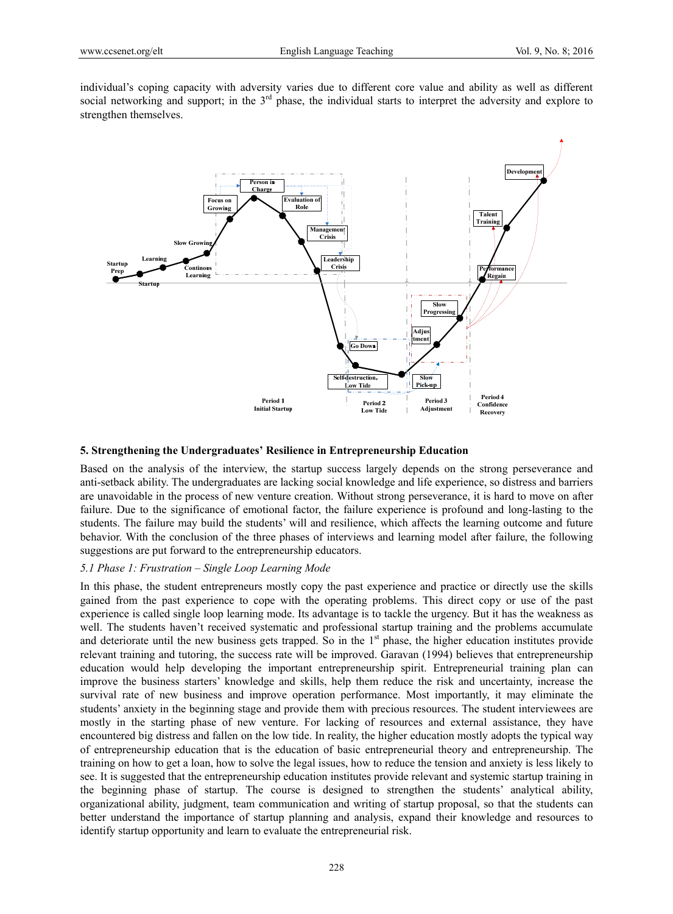individual's coping capacity with adversity varies due to different core value and ability as well as different social networking and support; in the  $3<sup>rd</sup>$  phase, the individual starts to interpret the adversity and explore to strengthen themselves.



#### **5. Strengthening the Undergraduates' Resilience in Entrepreneurship Education**

Based on the analysis of the interview, the startup success largely depends on the strong perseverance and anti-setback ability. The undergraduates are lacking social knowledge and life experience, so distress and barriers are unavoidable in the process of new venture creation. Without strong perseverance, it is hard to move on after failure. Due to the significance of emotional factor, the failure experience is profound and long-lasting to the students. The failure may build the students' will and resilience, which affects the learning outcome and future behavior. With the conclusion of the three phases of interviews and learning model after failure, the following suggestions are put forward to the entrepreneurship educators.

#### *5.1 Phase 1: Frustration – Single Loop Learning Mode*

In this phase, the student entrepreneurs mostly copy the past experience and practice or directly use the skills gained from the past experience to cope with the operating problems. This direct copy or use of the past experience is called single loop learning mode. Its advantage is to tackle the urgency. But it has the weakness as well. The students haven't received systematic and professional startup training and the problems accumulate and deteriorate until the new business gets trapped. So in the  $1<sup>st</sup>$  phase, the higher education institutes provide relevant training and tutoring, the success rate will be improved. Garavan (1994) believes that entrepreneurship education would help developing the important entrepreneurship spirit. Entrepreneurial training plan can improve the business starters' knowledge and skills, help them reduce the risk and uncertainty, increase the survival rate of new business and improve operation performance. Most importantly, it may eliminate the students' anxiety in the beginning stage and provide them with precious resources. The student interviewees are mostly in the starting phase of new venture. For lacking of resources and external assistance, they have encountered big distress and fallen on the low tide. In reality, the higher education mostly adopts the typical way of entrepreneurship education that is the education of basic entrepreneurial theory and entrepreneurship. The training on how to get a loan, how to solve the legal issues, how to reduce the tension and anxiety is less likely to see. It is suggested that the entrepreneurship education institutes provide relevant and systemic startup training in the beginning phase of startup. The course is designed to strengthen the students' analytical ability, organizational ability, judgment, team communication and writing of startup proposal, so that the students can better understand the importance of startup planning and analysis, expand their knowledge and resources to identify startup opportunity and learn to evaluate the entrepreneurial risk.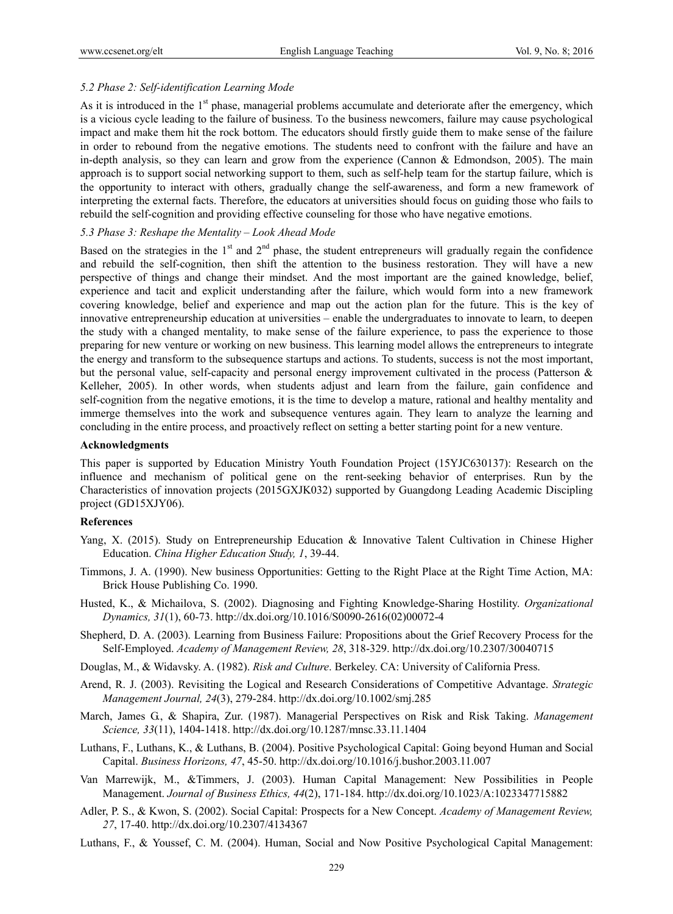## *5.2 Phase 2: Self-identification Learning Mode*

As it is introduced in the 1<sup>st</sup> phase, managerial problems accumulate and deteriorate after the emergency, which is a vicious cycle leading to the failure of business. To the business newcomers, failure may cause psychological impact and make them hit the rock bottom. The educators should firstly guide them to make sense of the failure in order to rebound from the negative emotions. The students need to confront with the failure and have an in-depth analysis, so they can learn and grow from the experience (Cannon & Edmondson, 2005). The main approach is to support social networking support to them, such as self-help team for the startup failure, which is the opportunity to interact with others, gradually change the self-awareness, and form a new framework of interpreting the external facts. Therefore, the educators at universities should focus on guiding those who fails to rebuild the self-cognition and providing effective counseling for those who have negative emotions.

## *5.3 Phase 3: Reshape the Mentality – Look Ahead Mode*

Based on the strategies in the  $1<sup>st</sup>$  and  $2<sup>nd</sup>$  phase, the student entrepreneurs will gradually regain the confidence and rebuild the self-cognition, then shift the attention to the business restoration. They will have a new perspective of things and change their mindset. And the most important are the gained knowledge, belief, experience and tacit and explicit understanding after the failure, which would form into a new framework covering knowledge, belief and experience and map out the action plan for the future. This is the key of innovative entrepreneurship education at universities – enable the undergraduates to innovate to learn, to deepen the study with a changed mentality, to make sense of the failure experience, to pass the experience to those preparing for new venture or working on new business. This learning model allows the entrepreneurs to integrate the energy and transform to the subsequence startups and actions. To students, success is not the most important, but the personal value, self-capacity and personal energy improvement cultivated in the process (Patterson & Kelleher, 2005). In other words, when students adjust and learn from the failure, gain confidence and self-cognition from the negative emotions, it is the time to develop a mature, rational and healthy mentality and immerge themselves into the work and subsequence ventures again. They learn to analyze the learning and concluding in the entire process, and proactively reflect on setting a better starting point for a new venture.

#### **Acknowledgments**

This paper is supported by Education Ministry Youth Foundation Project (15YJC630137): Research on the influence and mechanism of political gene on the rent-seeking behavior of enterprises. Run by the Characteristics of innovation projects (2015GXJK032) supported by Guangdong Leading Academic Discipling project (GD15XJY06).

## **References**

- Yang, X. (2015). Study on Entrepreneurship Education & Innovative Talent Cultivation in Chinese Higher Education. *China Higher Education Study, 1*, 39-44.
- Timmons, J. A. (1990). New business Opportunities: Getting to the Right Place at the Right Time Action, MA: Brick House Publishing Co. 1990.
- Husted, K., & Michailova, S. (2002). Diagnosing and Fighting Knowledge-Sharing Hostility. *Organizational Dynamics, 31*(1), 60-73. http://dx.doi.org/10.1016/S0090-2616(02)00072-4
- Shepherd, D. A. (2003). Learning from Business Failure: Propositions about the Grief Recovery Process for the Self-Employed. *Academy of Management Review, 28*, 318-329. http://dx.doi.org/10.2307/30040715
- Douglas, M., & Widavsky. A. (1982). *Risk and Culture*. Berkeley. CA: University of California Press.
- Arend, R. J. (2003). Revisiting the Logical and Research Considerations of Competitive Advantage. *Strategic Management Journal, 24*(3), 279-284. http://dx.doi.org/10.1002/smj.285
- March, James G., & Shapira, Zur. (1987). Managerial Perspectives on Risk and Risk Taking. *Management Science, 33*(11), 1404-1418. http://dx.doi.org/10.1287/mnsc.33.11.1404
- Luthans, F., Luthans, K., & Luthans, B. (2004). Positive Psychological Capital: Going beyond Human and Social Capital. *Business Horizons, 47*, 45-50. http://dx.doi.org/10.1016/j.bushor.2003.11.007
- Van Marrewijk, M., &Timmers, J. (2003). Human Capital Management: New Possibilities in People Management. *Journal of Business Ethics, 44*(2), 171-184. http://dx.doi.org/10.1023/A:1023347715882
- Adler, P. S., & Kwon, S. (2002). Social Capital: Prospects for a New Concept. *Academy of Management Review, 27*, 17-40. http://dx.doi.org/10.2307/4134367
- Luthans, F., & Youssef, C. M. (2004). Human, Social and Now Positive Psychological Capital Management: